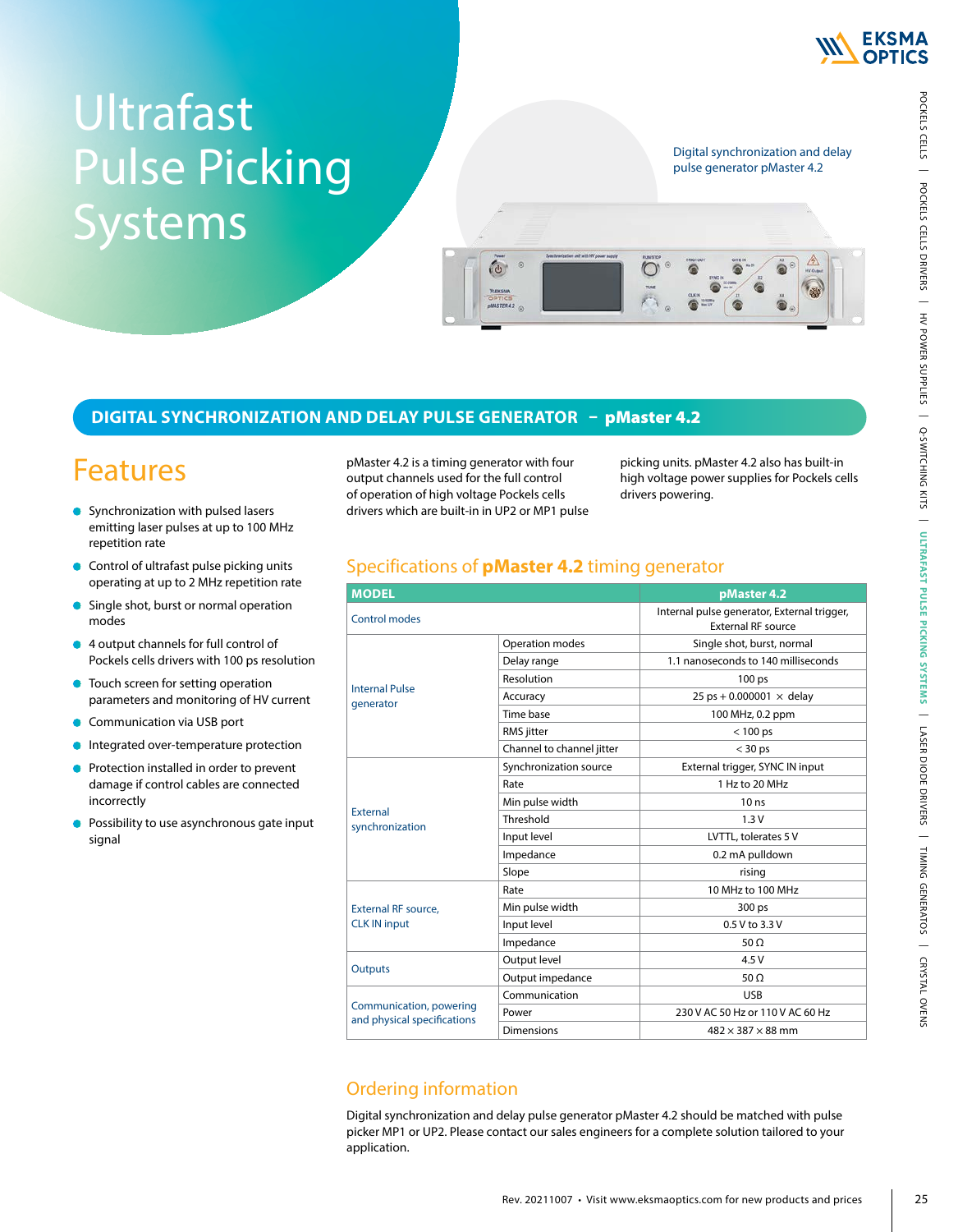

# Ultrafast Pulse Picking Systems

Digital synchronization and delay pulse generator pMaster 4.2

#### **DIGITAL SYNCHRONIZATION AND DELAY PULSE GENERATOR** – pMaster 4.2

# Features

- Synchronization with pulsed lasers emitting laser pulses at up to 100 MHz repetition rate
- **Control of ultrafast pulse picking units** operating at up to 2 MHz repetition rate
- Single shot, burst or normal operation  $\bullet$ modes
- 4 output channels for full control of  $\bullet$ Pockels cells drivers with 100 ps resolution
- **•** Touch screen for setting operation parameters and monitoring of HV current
- Communication via USB port  $\bullet$
- Integrated over-temperature protection  $\bullet$
- Protection installed in order to prevent  $\bullet$ damage if control cables are connected incorrectly
- Possibility to use asynchronous gate input signal

pMaster 4.2 is a timing generator with four output channels used for the full control of operation of high voltage Pockels cells drivers which are built-in in UP2 or MP1 pulse

 $\epsilon$ 

picking units. pMaster 4.2 also has built-in high voltage power supplies for Pockels cells drivers powering.

#### Specifications of **pMaster 4.2** timing generator

| <b>MODEL</b>                                           |                           | pMaster 4.2                                                              |  |  |
|--------------------------------------------------------|---------------------------|--------------------------------------------------------------------------|--|--|
| Control modes                                          |                           | Internal pulse generator, External trigger,<br><b>External RF source</b> |  |  |
|                                                        | Operation modes           | Single shot, burst, normal                                               |  |  |
| <b>Internal Pulse</b><br>generator                     | Delay range               | 1.1 nanoseconds to 140 milliseconds                                      |  |  |
|                                                        | Resolution                | 100 ps                                                                   |  |  |
|                                                        | Accuracy                  | 25 ps + 0.000001 $\times$ delay                                          |  |  |
|                                                        | Time base                 | 100 MHz, 0.2 ppm                                                         |  |  |
|                                                        | RMS jitter                | $< 100$ ps                                                               |  |  |
|                                                        | Channel to channel jitter | $<$ 30 ps                                                                |  |  |
| <b>External</b><br>synchronization                     | Synchronization source    | External trigger, SYNC IN input                                          |  |  |
|                                                        | Rate                      | 1 Hz to 20 MHz                                                           |  |  |
|                                                        | Min pulse width           | 10 <sub>ns</sub>                                                         |  |  |
|                                                        | Threshold                 | 1.3V                                                                     |  |  |
|                                                        | Input level               | LVTTL, tolerates 5 V                                                     |  |  |
|                                                        | Impedance                 | 0.2 mA pulldown                                                          |  |  |
|                                                        | Slope                     | rising                                                                   |  |  |
|                                                        | Rate                      | 10 MHz to 100 MHz                                                        |  |  |
| <b>External RF source,</b><br><b>CLK IN input</b>      | Min pulse width           | 300 ps                                                                   |  |  |
|                                                        | Input level               | 0.5 V to 3.3 V                                                           |  |  |
|                                                        | Impedance                 | 50 $\Omega$                                                              |  |  |
|                                                        | Output level              | 4.5 V                                                                    |  |  |
| <b>Outputs</b>                                         | Output impedance          | 50 $\Omega$                                                              |  |  |
|                                                        | Communication             | <b>USB</b>                                                               |  |  |
| Communication, powering<br>and physical specifications | Power                     | 230 V AC 50 Hz or 110 V AC 60 Hz                                         |  |  |
|                                                        | <b>Dimensions</b>         | $482 \times 387 \times 88$ mm                                            |  |  |
|                                                        |                           |                                                                          |  |  |

## Ordering information

Digital synchronization and delay pulse generator pMaster 4.2 should be matched with pulse picker MP1 or UP2. Please contact our sales engineers for a complete solution tailored to your application.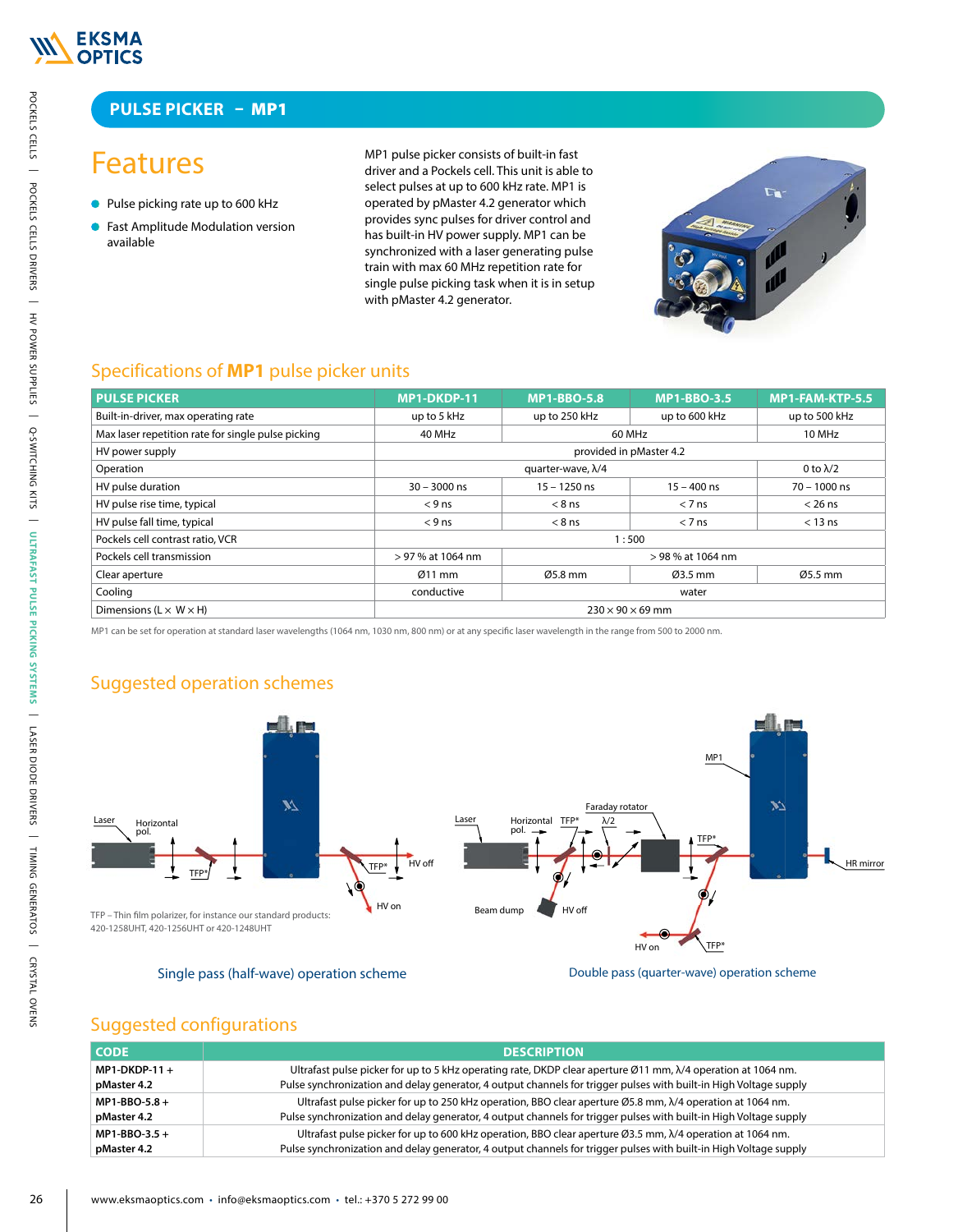

#### **PULSE PICKER** – MP1

# Features

- Pulse picking rate up to 600 kHz
- **Fast Amplitude Modulation version** available



#### Specifications of **MP1** pulse picker units

| <b>Features</b>                                                                                                                                                                                                                                                                                                                              |                                                                                                                                                                                                                                         | MP1 pulse picker consists of built-in fast<br>driver and a Pockels cell. This unit is able to<br>select pulses at up to 600 kHz rate. MP1 is |                                                      |                  |  |
|----------------------------------------------------------------------------------------------------------------------------------------------------------------------------------------------------------------------------------------------------------------------------------------------------------------------------------------------|-----------------------------------------------------------------------------------------------------------------------------------------------------------------------------------------------------------------------------------------|----------------------------------------------------------------------------------------------------------------------------------------------|------------------------------------------------------|------------------|--|
| • Pulse picking rate up to 600 kHz                                                                                                                                                                                                                                                                                                           | operated by pMaster 4.2 generator which                                                                                                                                                                                                 |                                                                                                                                              |                                                      | $\mathcal{L}$    |  |
| Fast Amplitude Modulation version<br>available                                                                                                                                                                                                                                                                                               |                                                                                                                                                                                                                                         | provides sync pulses for driver control and<br>has built-in HV power supply. MP1 can be                                                      |                                                      |                  |  |
|                                                                                                                                                                                                                                                                                                                                              | synchronized with a laser generating pulse<br>train with max 60 MHz repetition rate for<br>single pulse picking task when it is in setup<br>with pMaster 4.2 generator.                                                                 |                                                                                                                                              |                                                      |                  |  |
| Specifications of <b>MP1</b> pulse picker units                                                                                                                                                                                                                                                                                              |                                                                                                                                                                                                                                         |                                                                                                                                              |                                                      |                  |  |
| <b>PULSE PICKER</b>                                                                                                                                                                                                                                                                                                                          | MP1-DKDP-11                                                                                                                                                                                                                             | <b>MP1-BBO-5.8</b>                                                                                                                           | <b>MP1-BBO-3.5</b>                                   | MP1-FAM-KTP-5.5  |  |
| Built-in-driver, max operating rate                                                                                                                                                                                                                                                                                                          | up to 5 kHz                                                                                                                                                                                                                             | up to 250 kHz                                                                                                                                | up to 600 kHz                                        | up to 500 kHz    |  |
| Max laser repetition rate for single pulse picking                                                                                                                                                                                                                                                                                           | 40 MHz                                                                                                                                                                                                                                  |                                                                                                                                              | 60 MHz                                               | 10 MHz           |  |
| HV power supply                                                                                                                                                                                                                                                                                                                              |                                                                                                                                                                                                                                         |                                                                                                                                              | provided in pMaster 4.2                              |                  |  |
| Operation                                                                                                                                                                                                                                                                                                                                    |                                                                                                                                                                                                                                         | quarter-wave, $\lambda/4$                                                                                                                    |                                                      | 0 to $\lambda/2$ |  |
| HV pulse duration                                                                                                                                                                                                                                                                                                                            | $30 - 3000$ ns                                                                                                                                                                                                                          | $15 - 1250$ ns                                                                                                                               | $15 - 400$ ns                                        | $70 - 1000$ ns   |  |
| HV pulse rise time, typical                                                                                                                                                                                                                                                                                                                  | $< 9$ ns                                                                                                                                                                                                                                | $< 8$ ns                                                                                                                                     | $< 7$ ns                                             | $< 26$ ns        |  |
| HV pulse fall time, typical                                                                                                                                                                                                                                                                                                                  | $< 9$ ns                                                                                                                                                                                                                                | $< 8$ ns                                                                                                                                     | $< 7$ ns                                             | $<$ 13 ns        |  |
| Pockels cell contrast ratio, VCR                                                                                                                                                                                                                                                                                                             |                                                                                                                                                                                                                                         |                                                                                                                                              | 1:500<br>> 98 % at 1064 nm                           |                  |  |
| Pockels cell transmission                                                                                                                                                                                                                                                                                                                    | > 97 % at 1064 nm<br>$Ø11$ mm                                                                                                                                                                                                           | Ø5.8 mm                                                                                                                                      | Ø3.5 mm                                              | Ø5.5 mm          |  |
| Clear aperture                                                                                                                                                                                                                                                                                                                               |                                                                                                                                                                                                                                         |                                                                                                                                              |                                                      |                  |  |
|                                                                                                                                                                                                                                                                                                                                              |                                                                                                                                                                                                                                         |                                                                                                                                              |                                                      |                  |  |
| Cooling<br>Dimensions ( $L \times W \times H$ )                                                                                                                                                                                                                                                                                              | conductive                                                                                                                                                                                                                              |                                                                                                                                              | water<br>$230 \times 90 \times 69$ mm<br>MP1         |                  |  |
| MP1 can be set for operation at standard laser wavelengths (1064 nm, 1030 nm, 800 nm) or at any specific laser wavelength in the range from 500 to 2000 nm.<br>Suggested operation schemes<br>X7<br>Laser<br>Horizontal<br>pol.<br>TFP - Thin film polarizer, for instance our standard products:<br>420-1258UHT, 420-1256UHT or 420-1248UHT | Laser<br>HV off<br>TFP*<br>HV on<br>Beam dump                                                                                                                                                                                           | Faraday rotator<br>Horizontal<br><b>TFP</b><br>pol.<br>HV off                                                                                |                                                      | X7               |  |
| Single pass (half-wave) operation scheme<br><b>Suggested configurations</b>                                                                                                                                                                                                                                                                  |                                                                                                                                                                                                                                         |                                                                                                                                              | HV on<br>Double pass (quarter-wave) operation scheme |                  |  |
| <b>CODE</b>                                                                                                                                                                                                                                                                                                                                  |                                                                                                                                                                                                                                         | <b>DESCRIPTION</b>                                                                                                                           |                                                      |                  |  |
| $MP1-DKDP-11+$                                                                                                                                                                                                                                                                                                                               | Ultrafast pulse picker for up to 5 kHz operating rate, DKDP clear aperture Ø11 mm, $\lambda$ /4 operation at 1064 nm.                                                                                                                   |                                                                                                                                              |                                                      |                  |  |
| pMaster 4.2                                                                                                                                                                                                                                                                                                                                  | Pulse synchronization and delay generator, 4 output channels for trigger pulses with built-in High Voltage supply                                                                                                                       |                                                                                                                                              |                                                      |                  |  |
| MP1-BBO-5.8+<br>pMaster 4.2                                                                                                                                                                                                                                                                                                                  | Ultrafast pulse picker for up to 250 kHz operation, BBO clear aperture Ø5.8 mm, $\lambda$ /4 operation at 1064 nm.<br>Pulse synchronization and delay generator, 4 output channels for trigger pulses with built-in High Voltage supply |                                                                                                                                              |                                                      |                  |  |

## Suggested operation schemes





#### Suggested configurations

| <b>CODE</b>  | <b>DESCRIPTION</b>                                                                                                               |
|--------------|----------------------------------------------------------------------------------------------------------------------------------|
| MP1-DKDP-11+ | Ultrafast pulse picker for up to 5 kHz operating rate, DKDP clear aperture $\emptyset$ 11 mm, $\lambda$ /4 operation at 1064 nm. |
| pMaster 4.2  | Pulse synchronization and delay generator, 4 output channels for trigger pulses with built-in High Voltage supply                |
| MP1-BBO-5.8+ | Ultrafast pulse picker for up to 250 kHz operation, BBO clear aperture $\emptyset$ 5.8 mm, $\lambda$ /4 operation at 1064 nm.    |
| pMaster 4.2  | Pulse synchronization and delay generator, 4 output channels for trigger pulses with built-in High Voltage supply                |
| MP1-BBO-3.5+ | Ultrafast pulse picker for up to 600 kHz operation, BBO clear aperture $\emptyset$ 3.5 mm, $\lambda$ /4 operation at 1064 nm.    |
| pMaster 4.2  | Pulse synchronization and delay generator, 4 output channels for trigger pulses with built-in High Voltage supply                |